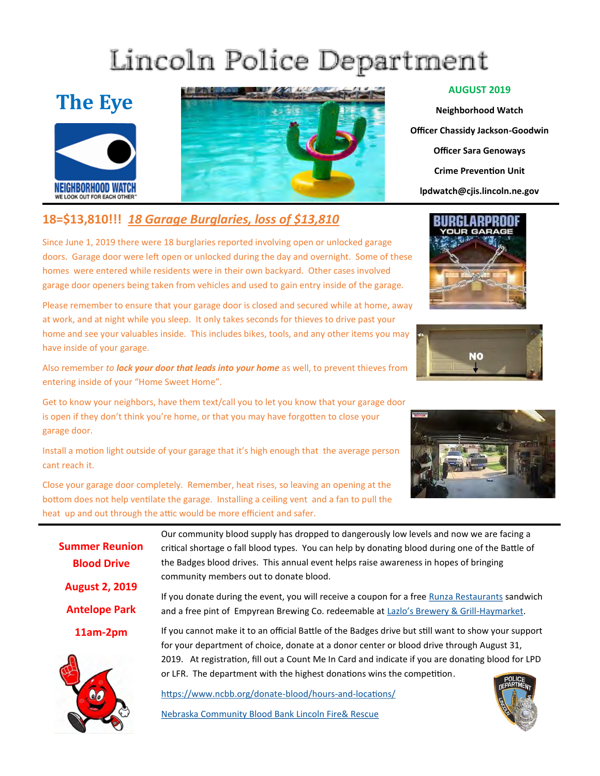## Lincoln Police Department

### **The Eye**





#### **18=\$13,810!!!** *18 Garage Burglaries, loss of \$13,810*

Since June 1, 2019 there were 18 burglaries reported involving open or unlocked garage doors. Garage door were left open or unlocked during the day and overnight. Some of these homes were entered while residents were in their own backyard. Other cases involved garage door openers being taken from vehicles and used to gain entry inside of the garage.

Please remember to ensure that your garage door is closed and secured while at home, away at work, and at night while you sleep. It only takes seconds for thieves to drive past your home and see your valuables inside. This includes bikes, tools, and any other items you may have inside of your garage.

Also remember *to lock your door that leads into your home* as well, to prevent thieves from entering inside of your "Home Sweet Home".

Get to know your neighbors, have them text/call you to let you know that your garage door is open if they don't think you're home, or that you may have forgotten to close your garage door.

Install a motion light outside of your garage that it's high enough that the average person cant reach it.

Close your garage door completely. Remember, heat rises, so leaving an opening at the bottom does not help ventilate the garage. Installing a ceiling vent and a fan to pull the heat up and out through the attic would be more efficient and safer.

> Our community blood supply has dropped to dangerously low levels and now we are facing a critical shortage o fall blood types. You can help by donating blood during one of the Battle of the Badges blood drives. This annual event helps raise awareness in hopes of bringing community members out to donate blood.

If you donate during the event, you will receive a coupon for a free [Runza Restaurants s](https://www.facebook.com/runzarestaurants/?fref=mentions&__xts__%5B0%5D=68.ARAIReg8-XHRWwqL_tAfHT_aynMgptXpDwx1TGCHwZc6XPWpgLTdDjZ86b1SKMsACJnnMxdpFwtcep2kBkjtl7ZN8S7Bo4WE8HedE3DZ14xVhIoZ1SfLJj9rig7bgVvX_SgGhlZ3sHAmQK09o9pqNNgnBSyYHHbRXUN3Yl7srb-KYBQoFji_frcj)andwich and a free pint of Empyrean Brewing Co. redeemable at [Lazlo's Brewery & Grill](Lazlo)-Haymarket.

If you cannot make it to an official Battle of the Badges drive but still want to show your support for your department of choice, donate at a donor center or blood drive through August 31, 2019. At registration, fill out a Count Me In Card and indicate if you are donating blood for LPD or LFR. The department with the highest donations wins the competition[.](https://www.ncbb.org/donate-blood/hours-and-locations/)

[https://www.ncbb.org/donate](https://www.ncbb.org/donate-blood/hours-and-locations/C:/Documents/Custom%20Office%20Templates)-blood/hours-and-locations/

Nebraska Community Blood Bank Lincoln Fire& Rescue

#### **AUGUST 2019**

**Neighborhood Watch Officer Chassidy Jackson-Goodwin Officer Sara Genoways Crime Prevention Unit lpdwatch@cjis.lincoln.ne.gov**









**Summer Reunion Blood Drive**

**August 2, 2019**

**Antelope Park** 

**11am-2pm**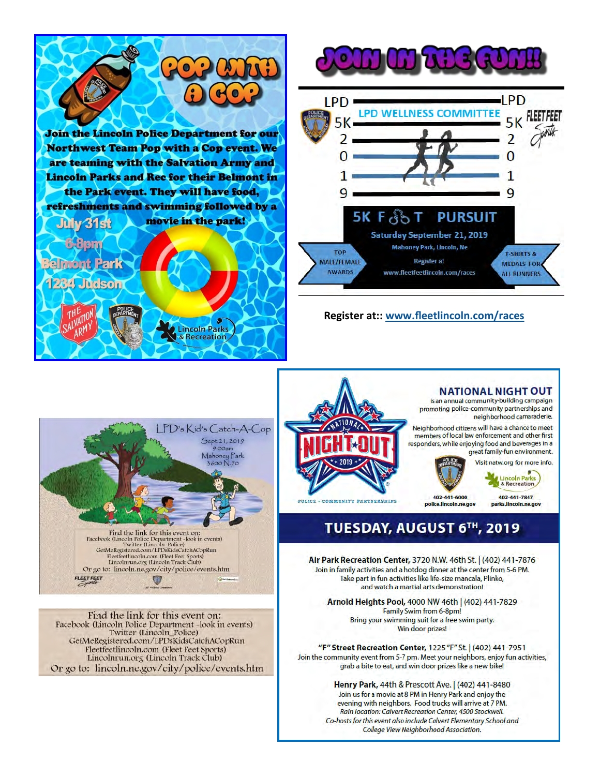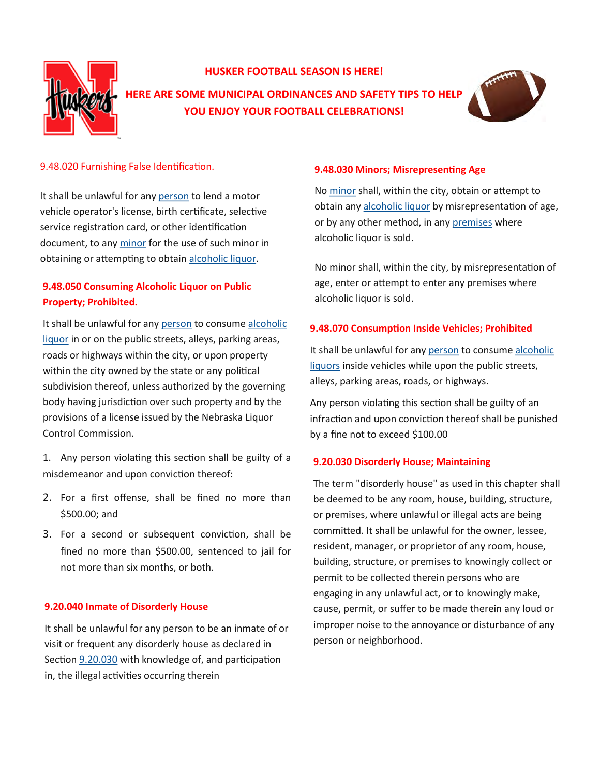

#### **HUSKER FOOTBALL SEASON IS HERE!**

**HERE ARE SOME MUNICIPAL ORDINANCES AND SAFETY TIPS TO HELP YOU ENJOY YOUR FOOTBALL CELEBRATIONS!**



#### 9.48.020 Furnishing False Identification.

It shall be unlawful for any [person t](http://online.encodeplus.com/regs/lincoln-ne/doc-view.aspx?pn=0&ajax=0&secid=8827)o lend a motor vehicle operator's license, birth certificate, selective service registration card, or other identification document, to any [minor f](http://online.encodeplus.com/regs/lincoln-ne/doc-view.aspx?pn=0&ajax=0&secid=8825)or the use of such minor in obtaining or attempting to obtain [alcoholic liquor.](http://online.encodeplus.com/regs/lincoln-ne/doc-view.aspx?pn=0&ajax=0&secid=8823)

#### **9.48.050 Consuming Alcoholic Liquor on Public Property; Prohibited.**

It shall be unlawful for any [person](http://online.encodeplus.com/regs/lincoln-ne/doc-view.aspx?pn=0&ajax=0&secid=8827) to consume alcoholic [liquor i](http://online.encodeplus.com/regs/lincoln-ne/doc-view.aspx?pn=0&ajax=0&secid=8823)n or on the public streets, alleys, parking areas, roads or highways within the city, or upon property within the city owned by the state or any political subdivision thereof, unless authorized by the governing body having jurisdiction over such property and by the provisions of a license issued by the Nebraska Liquor Control Commission.

1. Any person violating this section shall be guilty of a misdemeanor and upon conviction thereof:

- 2. For a first offense, shall be fined no more than \$500.00; and
- 3. For a second or subsequent conviction, shall be fined no more than \$500.00, sentenced to jail for not more than six months, or both.

#### **9.20.040 Inmate of Disorderly House**

It shall be unlawful for any person to be an inmate of or visit or frequent any disorderly house as declared in Section [9.20.030](http://online.encodeplus.com/regs/lincoln-ne/doc-viewer.aspx?ajax=0&tocid=001.009.005.003) with knowledge of, and participation in, the illegal activities occurring therein

#### **9.48.030 Minors; Misrepresenting Age**

No [minor s](http://online.encodeplus.com/regs/lincoln-ne/doc-view.aspx?pn=0&ajax=0&secid=8825)hall, within the city, obtain or attempt to obtain any [alcoholic liquor b](http://online.encodeplus.com/regs/lincoln-ne/doc-view.aspx?pn=0&ajax=0&secid=8823)y misrepresentation of age, or by any other method, in any [premises w](http://online.encodeplus.com/regs/lincoln-ne/doc-view.aspx?pn=0&ajax=0&secid=8828)here alcoholic liquor is sold.

No minor shall, within the city, by misrepresentation of age, enter or attempt to enter any premises where alcoholic liquor is sold.

#### **9.48.070 Consumption Inside Vehicles; Prohibited**

It shall be unlawful for any [person](http://online.encodeplus.com/regs/lincoln-ne/doc-view.aspx?pn=0&ajax=0&secid=8827) to consume alcoholic [liquors i](http://online.encodeplus.com/regs/lincoln-ne/doc-view.aspx?pn=0&ajax=0&secid=8823)nside vehicles while upon the public streets, alleys, parking areas, roads, or highways.

Any person violating this section shall be guilty of an infraction and upon conviction thereof shall be punished by a fine not to exceed \$100.00

#### **9.20.030 Disorderly House; Maintaining**

The term "disorderly house" as used in this chapter shall be deemed to be any room, house, building, structure, or premises, where unlawful or illegal acts are being committed. It shall be unlawful for the owner, lessee, resident, manager, or proprietor of any room, house, building, structure, or premises to knowingly collect or permit to be collected therein persons who are engaging in any unlawful act, or to knowingly make, cause, permit, or suffer to be made therein any loud or improper noise to the annoyance or disturbance of any person or neighborhood.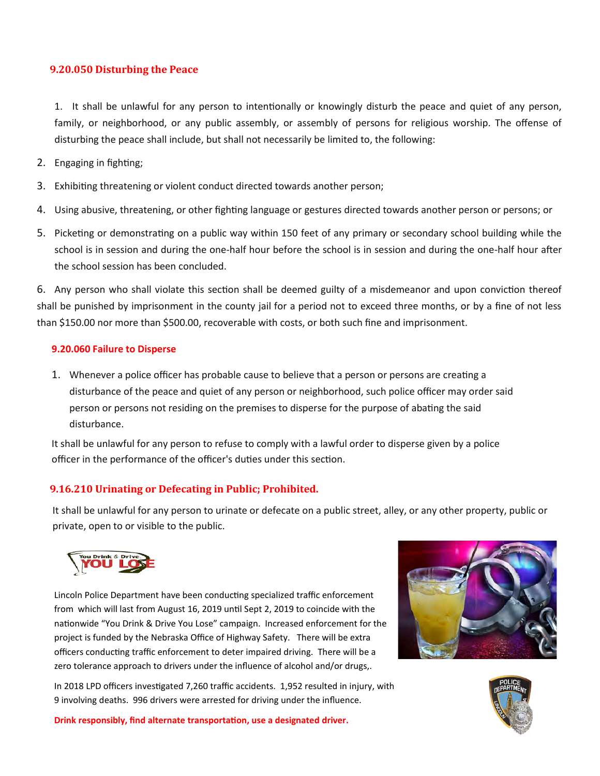#### **9.20.050 Disturbing the Peace**

1. It shall be unlawful for any person to intentionally or knowingly disturb the peace and quiet of any person, family, or neighborhood, or any public assembly, or assembly of persons for religious worship. The offense of disturbing the peace shall include, but shall not necessarily be limited to, the following:

- 2. Engaging in fighting;
- 3. Exhibiting threatening or violent conduct directed towards another person;
- 4. Using abusive, threatening, or other fighting language or gestures directed towards another person or persons; or
- 5. Picketing or demonstrating on a public way within 150 feet of any primary or secondary school building while the school is in session and during the one-half hour before the school is in session and during the one-half hour after the school session has been concluded.

6. Any person who shall violate this section shall be deemed guilty of a misdemeanor and upon conviction thereof shall be punished by imprisonment in the county jail for a period not to exceed three months, or by a fine of not less than \$150.00 nor more than \$500.00, recoverable with costs, or both such fine and imprisonment.

#### **9.20.060 Failure to Disperse**

1. Whenever a police officer has probable cause to believe that a person or persons are creating a disturbance of the peace and quiet of any person or neighborhood, such police officer may order said person or persons not residing on the premises to disperse for the purpose of abating the said disturbance.

It shall be unlawful for any person to refuse to comply with a lawful order to disperse given by a police officer in the performance of the officer's duties under this section.

#### **9.16.210 Urinating or Defecating in Public; Prohibited.**

It shall be unlawful for any person to urinate or defecate on a public street, alley, or any other property, public or private, open to or visible to the public.



Lincoln Police Department have been conducting specialized traffic enforcement from which will last from August 16, 2019 until Sept 2, 2019 to coincide with the nationwide "You Drink & Drive You Lose" campaign. Increased enforcement for the project is funded by the Nebraska Office of Highway Safety. There will be extra officers conducting traffic enforcement to deter impaired driving. There will be a zero tolerance approach to drivers under the influence of alcohol and/or drugs,.

In 2018 LPD officers investigated 7,260 traffic accidents. 1,952 resulted in injury, with 9 involving deaths. 996 drivers were arrested for driving under the influence.





**Drink responsibly, find alternate transportation, use a designated driver.**